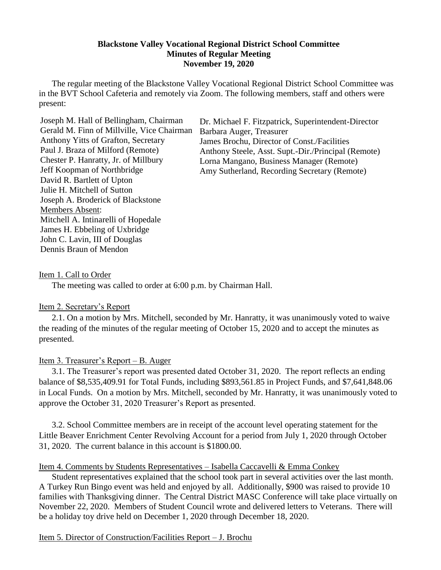#### **Blackstone Valley Vocational Regional District School Committee Minutes of Regular Meeting November 19, 2020**

The regular meeting of the Blackstone Valley Vocational Regional District School Committee was in the BVT School Cafeteria and remotely via Zoom. The following members, staff and others were present:

Joseph M. Hall of Bellingham, Chairman Gerald M. Finn of Millville, Vice Chairman Anthony Yitts of Grafton, Secretary Paul J. Braza of Milford (Remote) Chester P. Hanratty, Jr. of Millbury Jeff Koopman of Northbridge David R. Bartlett of Upton Julie H. Mitchell of Sutton Joseph A. Broderick of Blackstone Members Absent: Mitchell A. Intinarelli of Hopedale James H. Ebbeling of Uxbridge John C. Lavin, III of Douglas Dennis Braun of Mendon

Dr. Michael F. Fitzpatrick, Superintendent-Director Barbara Auger, Treasurer James Brochu, Director of Const./Facilities Anthony Steele, Asst. Supt.-Dir./Principal (Remote) Lorna Mangano, Business Manager (Remote) Amy Sutherland, Recording Secretary (Remote)

#### Item 1. Call to Order

The meeting was called to order at 6:00 p.m. by Chairman Hall.

#### Item 2. Secretary's Report

2.1. On a motion by Mrs. Mitchell, seconded by Mr. Hanratty, it was unanimously voted to waive the reading of the minutes of the regular meeting of October 15, 2020 and to accept the minutes as presented.

#### Item 3. Treasurer's Report – B. Auger

3.1. The Treasurer's report was presented dated October 31, 2020. The report reflects an ending balance of \$8,535,409.91 for Total Funds, including \$893,561.85 in Project Funds, and \$7,641,848.06 in Local Funds. On a motion by Mrs. Mitchell, seconded by Mr. Hanratty, it was unanimously voted to approve the October 31, 2020 Treasurer's Report as presented.

3.2. School Committee members are in receipt of the account level operating statement for the Little Beaver Enrichment Center Revolving Account for a period from July 1, 2020 through October 31, 2020. The current balance in this account is \$1800.00.

#### Item 4. Comments by Students Representatives – Isabella Caccavelli & Emma Conkey

Student representatives explained that the school took part in several activities over the last month. A Turkey Run Bingo event was held and enjoyed by all. Additionally, \$900 was raised to provide 10 families with Thanksgiving dinner. The Central District MASC Conference will take place virtually on November 22, 2020. Members of Student Council wrote and delivered letters to Veterans. There will be a holiday toy drive held on December 1, 2020 through December 18, 2020.

#### Item 5. Director of Construction/Facilities Report – J. Brochu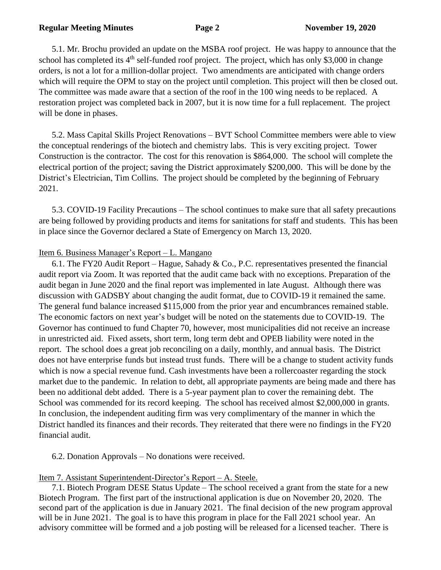5.1. Mr. Brochu provided an update on the MSBA roof project. He was happy to announce that the school has completed its  $4<sup>th</sup>$  self-funded roof project. The project, which has only \$3,000 in change orders, is not a lot for a million-dollar project. Two amendments are anticipated with change orders which will require the OPM to stay on the project until completion. This project will then be closed out. The committee was made aware that a section of the roof in the 100 wing needs to be replaced. A restoration project was completed back in 2007, but it is now time for a full replacement. The project will be done in phases.

5.2. Mass Capital Skills Project Renovations – BVT School Committee members were able to view the conceptual renderings of the biotech and chemistry labs. This is very exciting project. Tower Construction is the contractor. The cost for this renovation is \$864,000. The school will complete the electrical portion of the project; saving the District approximately \$200,000. This will be done by the District's Electrician, Tim Collins. The project should be completed by the beginning of February 2021.

5.3. COVID-19 Facility Precautions – The school continues to make sure that all safety precautions are being followed by providing products and items for sanitations for staff and students. This has been in place since the Governor declared a State of Emergency on March 13, 2020.

# Item 6. Business Manager's Report – L. Mangano

6.1. The FY20 Audit Report – Hague, Sahady & Co., P.C. representatives presented the financial audit report via Zoom. It was reported that the audit came back with no exceptions. Preparation of the audit began in June 2020 and the final report was implemented in late August. Although there was discussion with GADSBY about changing the audit format, due to COVID-19 it remained the same. The general fund balance increased \$115,000 from the prior year and encumbrances remained stable. The economic factors on next year's budget will be noted on the statements due to COVID-19. The Governor has continued to fund Chapter 70, however, most municipalities did not receive an increase in unrestricted aid. Fixed assets, short term, long term debt and OPEB liability were noted in the report. The school does a great job reconciling on a daily, monthly, and annual basis. The District does not have enterprise funds but instead trust funds. There will be a change to student activity funds which is now a special revenue fund. Cash investments have been a roller coaster regarding the stock market due to the pandemic. In relation to debt, all appropriate payments are being made and there has been no additional debt added. There is a 5-year payment plan to cover the remaining debt. The School was commended for its record keeping. The school has received almost \$2,000,000 in grants. In conclusion, the independent auditing firm was very complimentary of the manner in which the District handled its finances and their records. They reiterated that there were no findings in the FY20 financial audit.

# 6.2. Donation Approvals – No donations were received.

# Item 7. Assistant Superintendent-Director's Report – A. Steele.

7.1. Biotech Program DESE Status Update – The school received a grant from the state for a new Biotech Program. The first part of the instructional application is due on November 20, 2020. The second part of the application is due in January 2021. The final decision of the new program approval will be in June 2021. The goal is to have this program in place for the Fall 2021 school year. An advisory committee will be formed and a job posting will be released for a licensed teacher. There is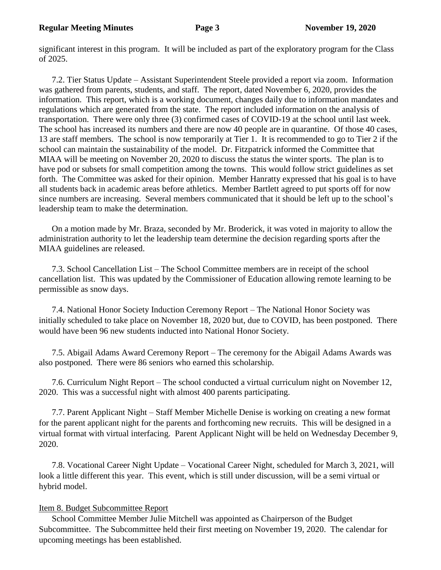significant interest in this program. It will be included as part of the exploratory program for the Class of 2025.

7.2. Tier Status Update – Assistant Superintendent Steele provided a report via zoom. Information was gathered from parents, students, and staff. The report, dated November 6, 2020, provides the information. This report, which is a working document, changes daily due to information mandates and regulations which are generated from the state. The report included information on the analysis of transportation. There were only three (3) confirmed cases of COVID-19 at the school until last week. The school has increased its numbers and there are now 40 people are in quarantine. Of those 40 cases, 13 are staff members. The school is now temporarily at Tier 1. It is recommended to go to Tier 2 if the school can maintain the sustainability of the model. Dr. Fitzpatrick informed the Committee that MIAA will be meeting on November 20, 2020 to discuss the status the winter sports. The plan is to have pod or subsets for small competition among the towns. This would follow strict guidelines as set forth. The Committee was asked for their opinion. Member Hanratty expressed that his goal is to have all students back in academic areas before athletics. Member Bartlett agreed to put sports off for now since numbers are increasing. Several members communicated that it should be left up to the school's leadership team to make the determination.

On a motion made by Mr. Braza, seconded by Mr. Broderick, it was voted in majority to allow the administration authority to let the leadership team determine the decision regarding sports after the MIAA guidelines are released.

7.3. School Cancellation List – The School Committee members are in receipt of the school cancellation list. This was updated by the Commissioner of Education allowing remote learning to be permissible as snow days.

7.4. National Honor Society Induction Ceremony Report – The National Honor Society was initially scheduled to take place on November 18, 2020 but, due to COVID, has been postponed. There would have been 96 new students inducted into National Honor Society.

7.5. Abigail Adams Award Ceremony Report – The ceremony for the Abigail Adams Awards was also postponed. There were 86 seniors who earned this scholarship.

7.6. Curriculum Night Report – The school conducted a virtual curriculum night on November 12, 2020. This was a successful night with almost 400 parents participating.

7.7. Parent Applicant Night – Staff Member Michelle Denise is working on creating a new format for the parent applicant night for the parents and forthcoming new recruits. This will be designed in a virtual format with virtual interfacing. Parent Applicant Night will be held on Wednesday December 9, 2020.

7.8. Vocational Career Night Update – Vocational Career Night, scheduled for March 3, 2021, will look a little different this year. This event, which is still under discussion, will be a semi virtual or hybrid model.

# Item 8. Budget Subcommittee Report

School Committee Member Julie Mitchell was appointed as Chairperson of the Budget Subcommittee. The Subcommittee held their first meeting on November 19, 2020. The calendar for upcoming meetings has been established.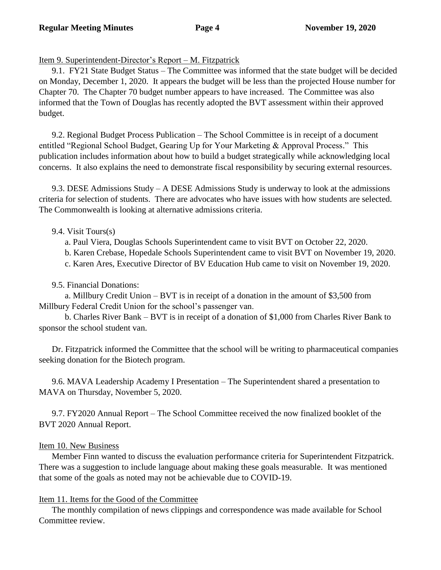### Item 9. Superintendent-Director's Report – M. Fitzpatrick

9.1. FY21 State Budget Status – The Committee was informed that the state budget will be decided on Monday, December 1, 2020. It appears the budget will be less than the projected House number for Chapter 70. The Chapter 70 budget number appears to have increased. The Committee was also informed that the Town of Douglas has recently adopted the BVT assessment within their approved budget.

9.2. Regional Budget Process Publication – The School Committee is in receipt of a document entitled "Regional School Budget, Gearing Up for Your Marketing & Approval Process." This publication includes information about how to build a budget strategically while acknowledging local concerns. It also explains the need to demonstrate fiscal responsibility by securing external resources.

9.3. DESE Admissions Study – A DESE Admissions Study is underway to look at the admissions criteria for selection of students. There are advocates who have issues with how students are selected. The Commonwealth is looking at alternative admissions criteria.

### 9.4. Visit Tours(s)

a. Paul Viera, Douglas Schools Superintendent came to visit BVT on October 22, 2020.

b. Karen Crebase, Hopedale Schools Superintendent came to visit BVT on November 19, 2020.

c. Karen Ares, Executive Director of BV Education Hub came to visit on November 19, 2020.

### 9.5. Financial Donations:

a. Millbury Credit Union – BVT is in receipt of a donation in the amount of \$3,500 from Millbury Federal Credit Union for the school's passenger van.

b. Charles River Bank – BVT is in receipt of a donation of \$1,000 from Charles River Bank to sponsor the school student van.

Dr. Fitzpatrick informed the Committee that the school will be writing to pharmaceutical companies seeking donation for the Biotech program.

9.6. MAVA Leadership Academy I Presentation – The Superintendent shared a presentation to MAVA on Thursday, November 5, 2020.

9.7. FY2020 Annual Report – The School Committee received the now finalized booklet of the BVT 2020 Annual Report.

### Item 10. New Business

Member Finn wanted to discuss the evaluation performance criteria for Superintendent Fitzpatrick. There was a suggestion to include language about making these goals measurable. It was mentioned that some of the goals as noted may not be achievable due to COVID-19.

# Item 11. Items for the Good of the Committee

The monthly compilation of news clippings and correspondence was made available for School Committee review.